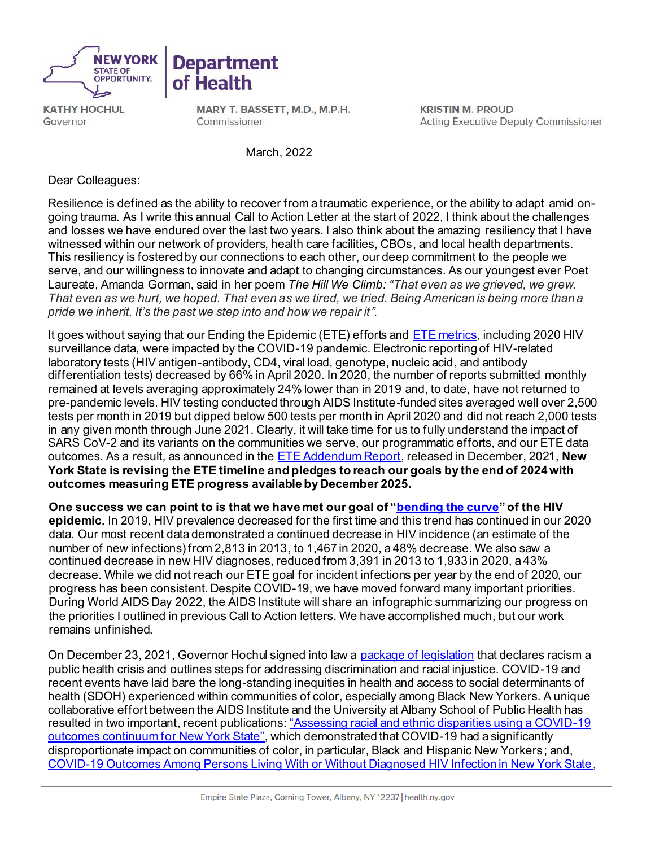

**KATHY HOCHUL** Governor

MARY T. BASSETT, M.D., M.P.H. Commissioner

**Department** 

of Health

**KRISTIN M. PROUD Acting Executive Deputy Commissioner** 

March, 2022

Dear Colleagues:

Resilience is defined as the ability to recover from a traumatic experience, or the ability to adapt amid ongoing trauma. As I write this annual Call to Action Letter at the start of 2022, I think about the challenges and losses we have endured over the last two years. I also think about the amazing resiliency that I have witnessed within our network of providers, health care facilities, CBOs, and local health departments. This resiliency is fostered by our connections to each other, our deep commitment to the people we serve, and our willingness to innovate and adapt to changing circumstances. As our youngest ever Poet Laureate, Amanda Gorman, said in her poem *The Hill We Climb: "That even as we grieved, we grew. That even as we hurt, we hoped. That even as we tired, we tried. Being American is being more than a pride we inherit. It's the past we step into and how we repair it".*

It goes without saying that our Ending the Epidemic (ETE) efforts and **ETE metrics**, including 2020 HIV surveillance data, were impacted by the COVID-19 pandemic. Electronic reporting of HIV-related laboratory tests (HIV antigen-antibody, CD4, viral load, genotype, nucleic acid, and antibody differentiation tests) decreased by 66% in April 2020. In 2020, the number of reports submitted monthly remained at levels averaging approximately 24% lower than in 2019 and, to date, have not returned to pre-pandemic levels. HIV testing conducted through AIDS Institute-funded sites averaged well over 2,500 tests per month in 2019 but dipped below 500 tests per month in April 2020 and did not reach 2,000 tests in any given month through June 2021. Clearly, it will take time for us to fully understand the impact of SARS CoV-2 and its variants on the communities we serve, our programmatic efforts, and our ETE data outcomes. As a result, as announced in the [ETE Addendum Report,](https://www.health.ny.gov/diseases/aids/ending_the_epidemic/docs/ete_beyond_2020_report.pdf) released in December, 2021, **New York State is revising the ETE timeline and pledges to reach our goals by the end of 2024 with outcomes measuring ETE progress available by December 2025.**

**One success we can point to is that we have met our goal of ["bending the curve](https://etedashboardny.org/metrics/)" of the HIV epidemic.** In 2019, HIV prevalence decreased for the first time and this trend has continued in our 2020 data. Our most recent data demonstrated a continued decrease in HIV incidence (an estimate of the number of new infections) from 2,813 in 2013, to 1,467 in 2020, a 48% decrease. We also saw a continued decrease in new HIV diagnoses, reduced from 3,391 in 2013 to 1,933 in 2020, a 43% decrease. While we did not reach our ETE goal for incident infections per year by the end of 2020, our progress has been consistent. Despite COVID-19, we have moved forward many important priorities. During World AIDS Day 2022, the AIDS Institute will share an infographic summarizing our progress on the priorities I outlined in previous Call to Action letters. We have accomplished much, but our work remains unfinished.

On December 23, 2021, Governor Hochul signed into law a [package of legislation](https://www.governor.ny.gov/news/governor-hochul-signs-package-legislation-address-discrimination-and-racial-injustice) that declares racism a public health crisis and outlines steps for addressing discrimination and racial injustice. COVID-19 and recent events have laid bare the long-standing inequities in health and access to social determinants of health (SDOH) experienced within communities of color, especially among Black New Yorkers. A unique collaborative effort between the AIDS Institute and the University at Albany School of Public Health has resulted in two important, recent publications: "Assessing racial and ethnic disparities using a COVID-19 [outcomes continuum for New York State",](https://jhu.pure.elsevier.com/en/publications/assessing-racial-and-ethnic-disparities-using-a-covid-19-outcomes) which demonstrated that COVID-19 had a significantly disproportionate impact on communities of color, in particular, Black and Hispanic New Yorkers; and, [COVID-19 Outcomes Among Persons Living With or Without Diagnosed HIV Infection in New York State,](https://pubmed.ncbi.nlm.nih.gov/33533933/)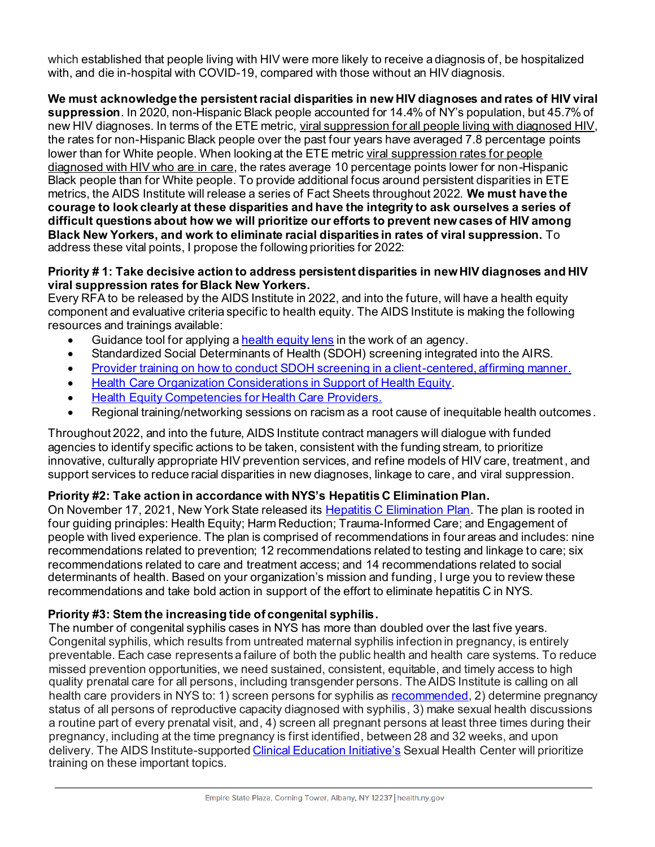which established that people living with HIV were more likely to receive a diagnosis of, be hospitalized with, and die in-hospital with COVID-19, compared with those without an HIV diagnosis.

**We must acknowledge the persistent racial disparities in new HIV diagnoses and rates of HIV viral** 

**suppression**. In 2020, non-Hispanic Black people accounted for 14.4% of NY's population, but 45.7% of new HIV diagnoses. In terms of the ETE metric, viral suppression for all people living with diagnosed HIV, the rates for non-Hispanic Black people over the past four years have averaged 7.8 percentage points lower than for White people. When looking at the ETE metric viral suppression rates for people diagnosed with HIV who are in care, the rates average 10 percentage points lower for non-Hispanic Black people than for White people. To provide additional focus around persistent disparities in ETE metrics, the AIDS Institute will release a series of Fact Sheets throughout 2022. **We must have the courage to look clearly at these disparities and have the integrity to ask ourselves a series of difficult questions about how we will prioritize our efforts to prevent new cases of HIV among Black New Yorkers, and work to eliminate racial disparities in rates of viral suppression.** To address these vital points, I propose the following priorities for 2022:

### **Priority # 1: Take decisive action to address persistent disparities in new HIV diagnoses and HIV viral suppression rates for Black New Yorkers.**

Every RFA to be released by the AIDS Institute in 2022, and into the future, will have a health equity component and evaluative criteria specific to health equity. The AIDS Institute is making the following resources and trainings available:

- Guidance tool for applying [a health equity lens](https://www.hivtrainingny.org/Home/healthequity) in the work of an agency.
- Standardized Social Determinants of Health (SDOH) screening integrated into the AIRS.
- [Provider training on how to conduct SDOH screening in a client-centered, affirming manner](https://www.hivtrainingny.org/).
- [Health Care Organization Considerations](https://www.health.ny.gov/diseases/aids/ending_the_epidemic/docs/organization_considerations.pdf) in Support of Health Equity.
- [Health Equity Competencies for Health Care Providers](https://www.health.ny.gov/diseases/aids/ending_the_epidemic/docs/health_equity_providers.pdf).
- Regional training/networking sessions on racism as a root cause of inequitable health outcomes.

Throughout 2022, and into the future, AIDS Institute contract managers will dialogue with funded agencies to identify specific actions to be taken, consistent with the funding stream, to prioritize innovative, culturally appropriate HIV prevention services, and refine models of HIV care, treatment, and support services to reduce racial disparities in new diagnoses, linkage to care, and viral suppression.

## **Priority #2: Take action in accordance with NYS's Hepatitis C Elimination Plan.**

On November 17, 2021, New York State released its [Hepatitis C Elimination Plan.](https://health.ny.gov/diseases/communicable/hepatitis/hepatitis_c/docs/hepatitis_c_elimination_plan.pdf) The plan is rooted in four guiding principles: Health Equity; Harm Reduction; Trauma-Informed Care; and Engagement of people with lived experience. The plan is comprised of recommendations in four areas and includes: nine recommendations related to prevention; 12 recommendations related to testing and linkage to care; six recommendations related to care and treatment access; and 14 recommendations related to social determinants of health. Based on your organization's mission and funding, I urge you to review these recommendations and take bold action in support of the effort to eliminate hepatitis C in NYS.

## **Priority #3: Stem the increasing tide of congenital syphilis.**

The number of congenital syphilis cases in NYS has more than doubled over the last five years. Congenital syphilis, which results from untreated maternal syphilis infection in pregnancy, is entirely preventable. Each case represents a failure of both the public health and health care systems. To reduce missed prevention opportunities, we need sustained, consistent, equitable, and timely access to high quality prenatal care for all persons, including transgender persons. The AIDS Institute is calling on all health care providers in NYS to: 1) screen persons for syphilis a[s recommended](https://www.cdc.gov/std/treatment-guidelines/screening-recommendations.htm), 2) determine pregnancy status of all persons of reproductive capacity diagnosed with syphilis, 3) make sexual health discussions a routine part of every prenatal visit, and, 4) screen all pregnant persons at least three times during their pregnancy, including at the time pregnancy is first identified, between 28 and 32 weeks, and upon delivery. The AIDS Institute-supporte[d Clinical Education Initiative's](http://www.ceitraining.org/) Sexual Health Center will prioritize training on these important topics.